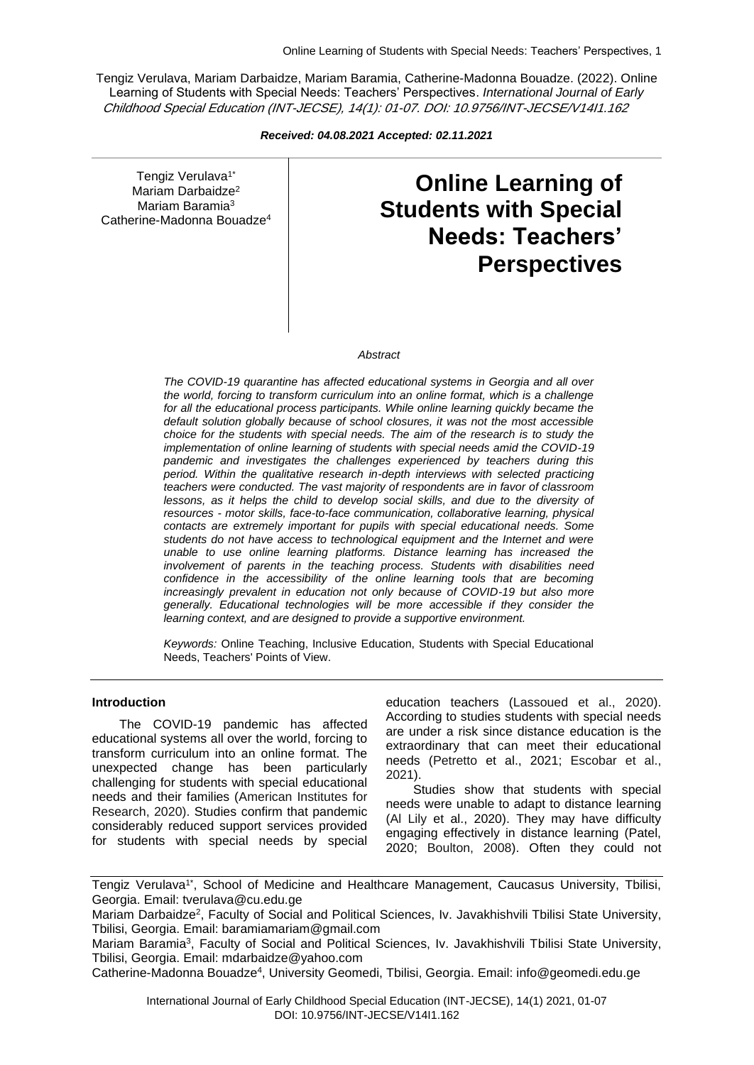Tengiz Verulava, Mariam Darbaidze, Mariam Baramia, Catherine-Madonna Bouadze. (2022). Online Learning of Students with Special Needs: Teachers' Perspectives. *International Journal of Early*  Childhood Special Education (INT-JECSE), 14(1): 01-07. DOI: 10.9756/INT-JECSE/V14I1.162

*Received: 04.08.2021 Accepted: 02.11.2021*

Tengiz Verulava<sup>1\*</sup> Mariam Darbaidze<sup>2</sup> Mariam Baramia<sup>3</sup> Catherine-Madonna Bouadze<sup>4</sup>

# **Online Learning of Students with Special Needs: Teachers' Perspectives**

#### *Abstract*

*The COVID-19 quarantine has affected educational systems in Georgia and all over the world, forcing to transform curriculum into an online format, which is a challenge for all the educational process participants. While online learning quickly became the default solution globally because of school closures, it was not the most accessible choice for the students with special needs. The aim of the research is to study the implementation of online learning of students with special needs amid the COVID-19 pandemic and investigates the challenges experienced by teachers during this period. Within the qualitative research in-depth interviews with selected practicing teachers were conducted. The vast majority of respondents are in favor of classroom lessons, as it helps the child to develop social skills, and due to the diversity of resources - motor skills, face-to-face communication, collaborative learning, physical contacts are extremely important for pupils with special educational needs. Some students do not have access to technological equipment and the Internet and were unable to use online learning platforms. Distance learning has increased the involvement of parents in the teaching process. Students with disabilities need confidence in the accessibility of the online learning tools that are becoming increasingly prevalent in education not only because of COVID-19 but also more generally. Educational technologies will be more accessible if they consider the learning context, and are designed to provide a supportive environment.*

*Keywords:* Online Teaching, Inclusive Education, Students with Special Educational Needs, Teachers' Points of View.

#### **Introduction**

The COVID-19 pandemic has affected educational systems all over the world, forcing to transform curriculum into an online format. The unexpected change has been particularly challenging for students with special educational needs and their families (American Institutes for Research, 2020). Studies confirm that pandemic considerably reduced support services provided for students with special needs by special

education teachers (Lassoued et al., 2020). According to studies students with special needs are under a risk since distance education is the extraordinary that can meet their educational needs (Petretto et al., 2021; Escobar et al., 2021).

Studies show that students with special needs were unable to adapt to distance learning (Al Lily et al., 2020). They may have difficulty engaging effectively in distance learning (Patel, 2020; Boulton, 2008). Often they could not

Tengiz Verulava<sup>1\*</sup>, School of Medicine and Healthcare Management, Caucasus University, Tbilisi, Georgia. Email: tverulava@cu.edu.ge

Mariam Darbaidze<sup>2</sup>, Faculty of Social and Political Sciences, Iv. Javakhishvili Tbilisi State University, Tbilisi, Georgia. Email: baramiamariam@gmail.com

Mariam Baramia<sup>3</sup>, Faculty of Social and Political Sciences, Iv. Javakhishvili Tbilisi State University, Tbilisi, Georgia. Email: mdarbaidze@yahoo.com

Catherine-Madonna Bouadze<sup>4</sup>, University Geomedi, Tbilisi, Georgia. Email: info@geomedi.edu.ge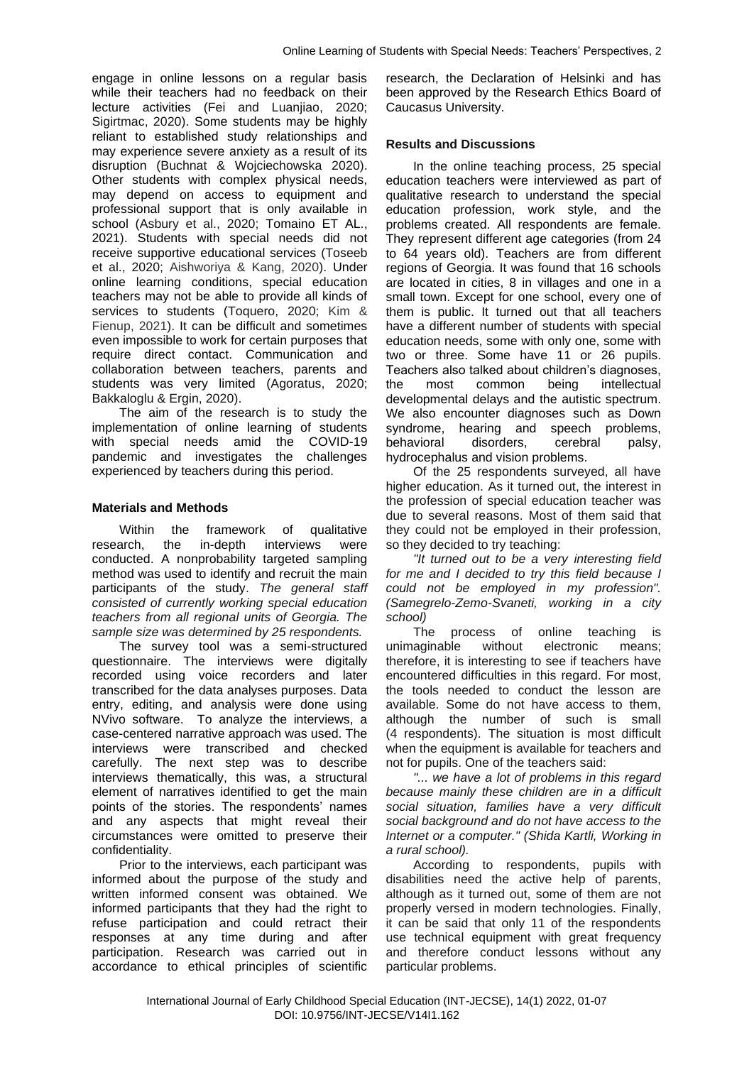engage in online lessons on a regular basis while their teachers had no feedback on their lecture activities (Fei and Luanjiao, 2020; Sigirtmac, 2020). Some students may be highly reliant to established study relationships and may experience severe anxiety as a result of its disruption (Buchnat & Wojciechowska 2020). Other students with complex physical needs, may depend on access to equipment and professional support that is only available in school (Asbury et al., 2020; Tomaino ET AL., 2021). Students with special needs did not receive supportive educational services (Toseeb et al., 2020; Aishworiya & Kang, 2020). Under online learning conditions, special education teachers may not be able to provide all kinds of services to students (Toquero, 2020; Kim & Fienup, 2021). It can be difficult and sometimes even impossible to work for certain purposes that require direct contact. Communication and collaboration between teachers, parents and students was very limited (Agoratus, 2020; Bakkaloglu & Ergin, 2020).

The aim of the research is to study the implementation of online learning of students with special needs amid the COVID-19 pandemic and investigates the challenges experienced by teachers during this period.

### **Materials and Methods**

Within the framework of qualitative research, the in-depth interviews were conducted. A nonprobability targeted sampling method was used to identify and recruit the main participants of the study. *The general staff consisted of currently working special education teachers from all regional units of Georgia. The sample size was determined by 25 respondents.*

The survey tool was a semi-structured questionnaire. The interviews were digitally recorded using voice recorders and later transcribed for the data analyses purposes. Data entry, editing, and analysis were done using NVivo software. To analyze the interviews, a case-centered narrative approach was used. The interviews were transcribed and checked carefully. The next step was to describe interviews thematically, this was, a structural element of narratives identified to get the main points of the stories. The respondents' names and any aspects that might reveal their circumstances were omitted to preserve their confidentiality.

Prior to the interviews, each participant was informed about the purpose of the study and written informed consent was obtained. We informed participants that they had the right to refuse participation and could retract their responses at any time during and after participation. Research was carried out in accordance to ethical principles of scientific

research, the Declaration of Helsinki and has been approved by the Research Ethics Board of Caucasus University.

#### **Results and Discussions**

In the online teaching process, 25 special education teachers were interviewed as part of qualitative research to understand the special education profession, work style, and the problems created. All respondents are female. They represent different age categories (from 24 to 64 years old). Teachers are from different regions of Georgia. It was found that 16 schools are located in cities, 8 in villages and one in a small town. Except for one school, every one of them is public. It turned out that all teachers have a different number of students with special education needs, some with only one, some with two or three. Some have 11 or 26 pupils. Teachers also talked about children's diagnoses, the most common being intellectual developmental delays and the autistic spectrum. We also encounter diagnoses such as Down syndrome, hearing and speech problems, behavioral disorders, cerebral palsy, hydrocephalus and vision problems.

Of the 25 respondents surveyed, all have higher education. As it turned out, the interest in the profession of special education teacher was due to several reasons. Most of them said that they could not be employed in their profession, so they decided to try teaching:

*"It turned out to be a very interesting field for me and I decided to try this field because I could not be employed in my profession". (Samegrelo-Zemo-Svaneti, working in a city school)* 

The process of online teaching is unimaginable without electronic means; therefore, it is interesting to see if teachers have encountered difficulties in this regard. For most, the tools needed to conduct the lesson are available. Some do not have access to them, although the number of such is small (4 respondents). The situation is most difficult when the equipment is available for teachers and not for pupils. One of the teachers said:

*"... we have a lot of problems in this regard because mainly these children are in a difficult social situation, families have a very difficult social background and do not have access to the Internet or a computer." (Shida Kartli, Working in a rural school).*

According to respondents, pupils with disabilities need the active help of parents, although as it turned out, some of them are not properly versed in modern technologies. Finally, it can be said that only 11 of the respondents use technical equipment with great frequency and therefore conduct lessons without any particular problems.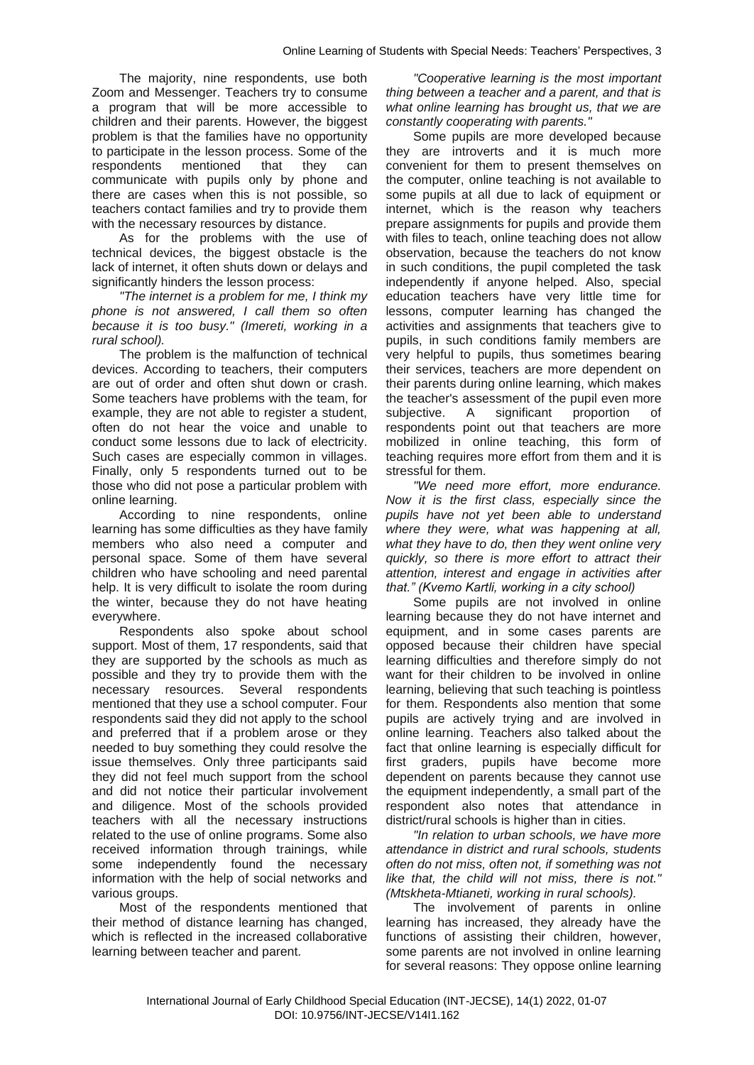The majority, nine respondents, use both Zoom and Messenger. Teachers try to consume a program that will be more accessible to children and their parents. However, the biggest problem is that the families have no opportunity to participate in the lesson process. Some of the respondents mentioned that they can communicate with pupils only by phone and there are cases when this is not possible, so teachers contact families and try to provide them with the necessary resources by distance.

As for the problems with the use of technical devices, the biggest obstacle is the lack of internet, it often shuts down or delays and significantly hinders the lesson process:

*"The internet is a problem for me, I think my phone is not answered, I call them so often because it is too busy." (Imereti, working in a rural school).*

The problem is the malfunction of technical devices. According to teachers, their computers are out of order and often shut down or crash. Some teachers have problems with the team, for example, they are not able to register a student, often do not hear the voice and unable to conduct some lessons due to lack of electricity. Such cases are especially common in villages. Finally, only 5 respondents turned out to be those who did not pose a particular problem with online learning.

According to nine respondents, online learning has some difficulties as they have family members who also need a computer and personal space. Some of them have several children who have schooling and need parental help. It is very difficult to isolate the room during the winter, because they do not have heating everywhere.

Respondents also spoke about school support. Most of them, 17 respondents, said that they are supported by the schools as much as possible and they try to provide them with the necessary resources. Several respondents mentioned that they use a school computer. Four respondents said they did not apply to the school and preferred that if a problem arose or they needed to buy something they could resolve the issue themselves. Only three participants said they did not feel much support from the school and did not notice their particular involvement and diligence. Most of the schools provided teachers with all the necessary instructions related to the use of online programs. Some also received information through trainings, while some independently found the necessary information with the help of social networks and various groups.

Most of the respondents mentioned that their method of distance learning has changed, which is reflected in the increased collaborative learning between teacher and parent.

*"Cooperative learning is the most important thing between a teacher and a parent, and that is what online learning has brought us, that we are constantly cooperating with parents."*

Some pupils are more developed because they are introverts and it is much more convenient for them to present themselves on the computer, online teaching is not available to some pupils at all due to lack of equipment or internet, which is the reason why teachers prepare assignments for pupils and provide them with files to teach, online teaching does not allow observation, because the teachers do not know in such conditions, the pupil completed the task independently if anyone helped. Also, special education teachers have very little time for lessons, computer learning has changed the activities and assignments that teachers give to pupils, in such conditions family members are very helpful to pupils, thus sometimes bearing their services, teachers are more dependent on their parents during online learning, which makes the teacher's assessment of the pupil even more subjective. A significant proportion of respondents point out that teachers are more mobilized in online teaching, this form of teaching requires more effort from them and it is stressful for them.

*"We need more effort, more endurance. Now it is the first class, especially since the pupils have not yet been able to understand where they were, what was happening at all, what they have to do, then they went online very quickly, so there is more effort to attract their attention, interest and engage in activities after that." (Kvemo Kartli, working in a city school)* 

Some pupils are not involved in online learning because they do not have internet and equipment, and in some cases parents are opposed because their children have special learning difficulties and therefore simply do not want for their children to be involved in online learning, believing that such teaching is pointless for them. Respondents also mention that some pupils are actively trying and are involved in online learning. Teachers also talked about the fact that online learning is especially difficult for first graders, pupils have become more dependent on parents because they cannot use the equipment independently, a small part of the respondent also notes that attendance in district/rural schools is higher than in cities.

*"In relation to urban schools, we have more attendance in district and rural schools, students often do not miss, often not, if something was not like that, the child will not miss, there is not." (Mtskheta-Mtianeti, working in rural schools).*

The involvement of parents in online learning has increased, they already have the functions of assisting their children, however, some parents are not involved in online learning for several reasons: They oppose online learning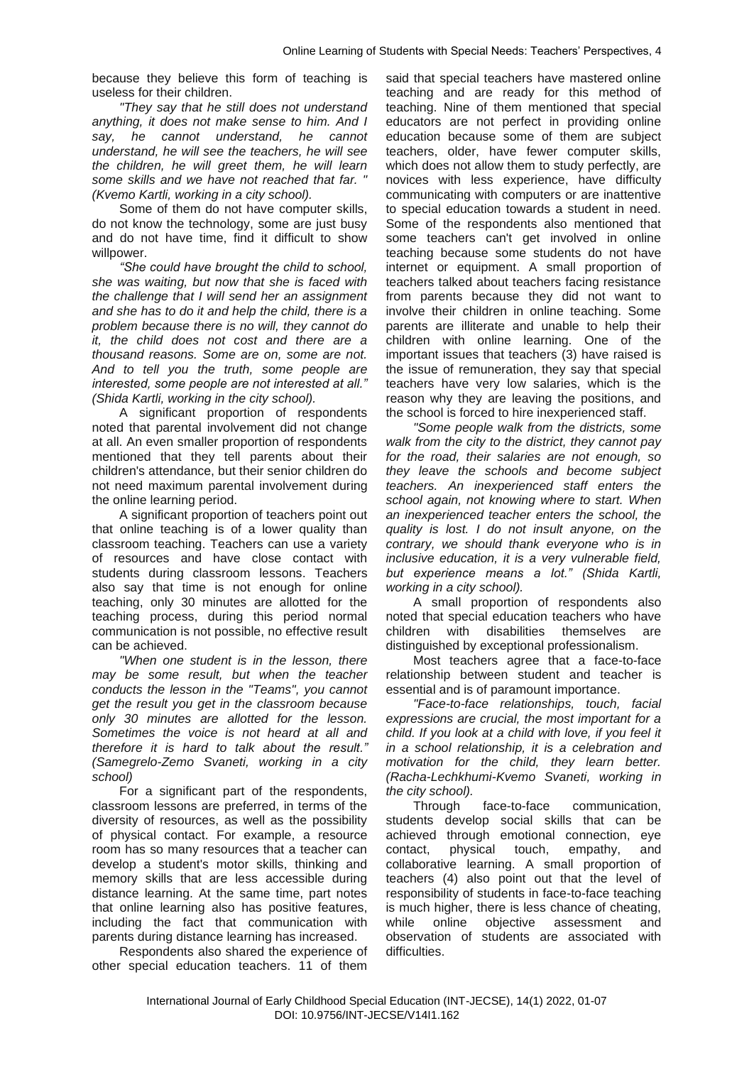because they believe this form of teaching is useless for their children.

*"They say that he still does not understand anything, it does not make sense to him. And I say, he cannot understand, he cannot understand, he will see the teachers, he will see the children, he will greet them, he will learn some skills and we have not reached that far. " (Kvemo Kartli, working in a city school).*

Some of them do not have computer skills, do not know the technology, some are just busy and do not have time, find it difficult to show willpower.

*"She could have brought the child to school, she was waiting, but now that she is faced with the challenge that I will send her an assignment and she has to do it and help the child, there is a problem because there is no will, they cannot do it, the child does not cost and there are a thousand reasons. Some are on, some are not. And to tell you the truth, some people are interested, some people are not interested at all." (Shida Kartli, working in the city school).*

A significant proportion of respondents noted that parental involvement did not change at all. An even smaller proportion of respondents mentioned that they tell parents about their children's attendance, but their senior children do not need maximum parental involvement during the online learning period.

A significant proportion of teachers point out that online teaching is of a lower quality than classroom teaching. Teachers can use a variety of resources and have close contact with students during classroom lessons. Teachers also say that time is not enough for online teaching, only 30 minutes are allotted for the teaching process, during this period normal communication is not possible, no effective result can be achieved.

*"When one student is in the lesson, there may be some result, but when the teacher conducts the lesson in the "Teams", you cannot get the result you get in the classroom because only 30 minutes are allotted for the lesson. Sometimes the voice is not heard at all and therefore it is hard to talk about the result." (Samegrelo-Zemo Svaneti, working in a city school)*

For a significant part of the respondents, classroom lessons are preferred, in terms of the diversity of resources, as well as the possibility of physical contact. For example, a resource room has so many resources that a teacher can develop a student's motor skills, thinking and memory skills that are less accessible during distance learning. At the same time, part notes that online learning also has positive features, including the fact that communication with parents during distance learning has increased.

Respondents also shared the experience of other special education teachers. 11 of them

said that special teachers have mastered online teaching and are ready for this method of teaching. Nine of them mentioned that special educators are not perfect in providing online education because some of them are subject teachers, older, have fewer computer skills, which does not allow them to study perfectly, are novices with less experience, have difficulty communicating with computers or are inattentive to special education towards a student in need. Some of the respondents also mentioned that some teachers can't get involved in online teaching because some students do not have internet or equipment. A small proportion of teachers talked about teachers facing resistance from parents because they did not want to involve their children in online teaching. Some parents are illiterate and unable to help their children with online learning. One of the important issues that teachers (3) have raised is the issue of remuneration, they say that special teachers have very low salaries, which is the reason why they are leaving the positions, and the school is forced to hire inexperienced staff.

*"Some people walk from the districts, some walk from the city to the district, they cannot pay for the road, their salaries are not enough, so they leave the schools and become subject teachers. An inexperienced staff enters the school again, not knowing where to start. When an inexperienced teacher enters the school, the quality is lost. I do not insult anyone, on the contrary, we should thank everyone who is in inclusive education, it is a very vulnerable field, but experience means a lot." (Shida Kartli, working in a city school).* 

A small proportion of respondents also noted that special education teachers who have children with disabilities themselves are distinguished by exceptional professionalism.

Most teachers agree that a face-to-face relationship between student and teacher is essential and is of paramount importance.

*"Face-to-face relationships, touch, facial expressions are crucial, the most important for a child. If you look at a child with love, if you feel it in a school relationship, it is a celebration and motivation for the child, they learn better. (Racha-Lechkhumi-Kvemo Svaneti, working in the city school).*

Through face-to-face communication, students develop social skills that can be achieved through emotional connection, eye contact, physical touch, empathy, and collaborative learning. A small proportion of teachers (4) also point out that the level of responsibility of students in face-to-face teaching is much higher, there is less chance of cheating, while online objective assessment and observation of students are associated with difficulties.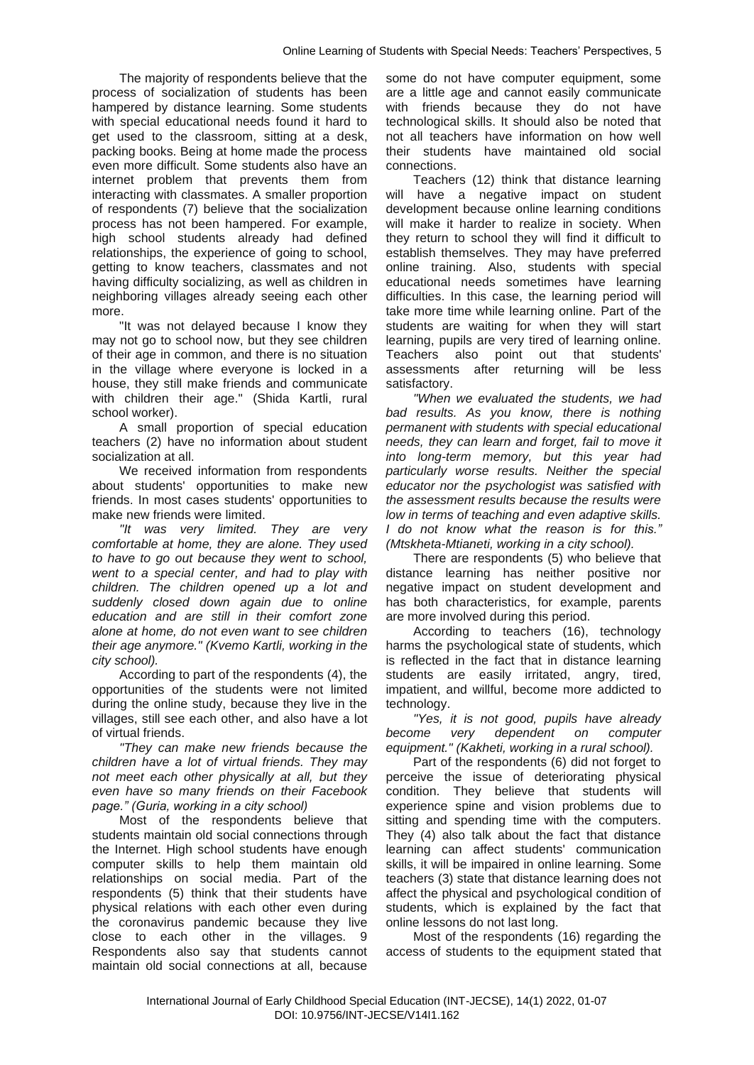The majority of respondents believe that the process of socialization of students has been hampered by distance learning. Some students with special educational needs found it hard to get used to the classroom, sitting at a desk, packing books. Being at home made the process even more difficult. Some students also have an internet problem that prevents them from interacting with classmates. A smaller proportion of respondents (7) believe that the socialization process has not been hampered. For example, high school students already had defined relationships, the experience of going to school, getting to know teachers, classmates and not having difficulty socializing, as well as children in neighboring villages already seeing each other more.

"It was not delayed because I know they may not go to school now, but they see children of their age in common, and there is no situation in the village where everyone is locked in a house, they still make friends and communicate with children their age." (Shida Kartli, rural school worker).

A small proportion of special education teachers (2) have no information about student socialization at all.

We received information from respondents about students' opportunities to make new friends. In most cases students' opportunities to make new friends were limited.

*"It was very limited. They are very comfortable at home, they are alone. They used to have to go out because they went to school, went to a special center, and had to play with children. The children opened up a lot and suddenly closed down again due to online education and are still in their comfort zone alone at home, do not even want to see children their age anymore." (Kvemo Kartli, working in the city school).*

According to part of the respondents (4), the opportunities of the students were not limited during the online study, because they live in the villages, still see each other, and also have a lot of virtual friends.

*"They can make new friends because the children have a lot of virtual friends. They may not meet each other physically at all, but they even have so many friends on their Facebook page." (Guria, working in a city school)*

Most of the respondents believe that students maintain old social connections through the Internet. High school students have enough computer skills to help them maintain old relationships on social media. Part of the respondents (5) think that their students have physical relations with each other even during the coronavirus pandemic because they live close to each other in the villages. 9 Respondents also say that students cannot maintain old social connections at all, because

some do not have computer equipment, some are a little age and cannot easily communicate with friends because they do not have technological skills. It should also be noted that not all teachers have information on how well their students have maintained old social connections.

Teachers (12) think that distance learning will have a negative impact on student development because online learning conditions will make it harder to realize in society. When they return to school they will find it difficult to establish themselves. They may have preferred online training. Also, students with special educational needs sometimes have learning difficulties. In this case, the learning period will take more time while learning online. Part of the students are waiting for when they will start learning, pupils are very tired of learning online. Teachers also point out that students' assessments after returning will be less satisfactory.

*"When we evaluated the students, we had bad results. As you know, there is nothing permanent with students with special educational needs, they can learn and forget, fail to move it into long-term memory, but this year had particularly worse results. Neither the special educator nor the psychologist was satisfied with the assessment results because the results were low in terms of teaching and even adaptive skills. I do not know what the reason is for this." (Mtskheta-Mtianeti, working in a city school).*

There are respondents (5) who believe that distance learning has neither positive nor negative impact on student development and has both characteristics, for example, parents are more involved during this period.

According to teachers (16), technology harms the psychological state of students, which is reflected in the fact that in distance learning students are easily irritated, angry, tired, impatient, and willful, become more addicted to technology.

*"Yes, it is not good, pupils have already become very dependent on computer equipment." (Kakheti, working in a rural school).* 

Part of the respondents (6) did not forget to perceive the issue of deteriorating physical condition. They believe that students will experience spine and vision problems due to sitting and spending time with the computers. They (4) also talk about the fact that distance learning can affect students' communication skills, it will be impaired in online learning. Some teachers (3) state that distance learning does not affect the physical and psychological condition of students, which is explained by the fact that online lessons do not last long.

Most of the respondents (16) regarding the access of students to the equipment stated that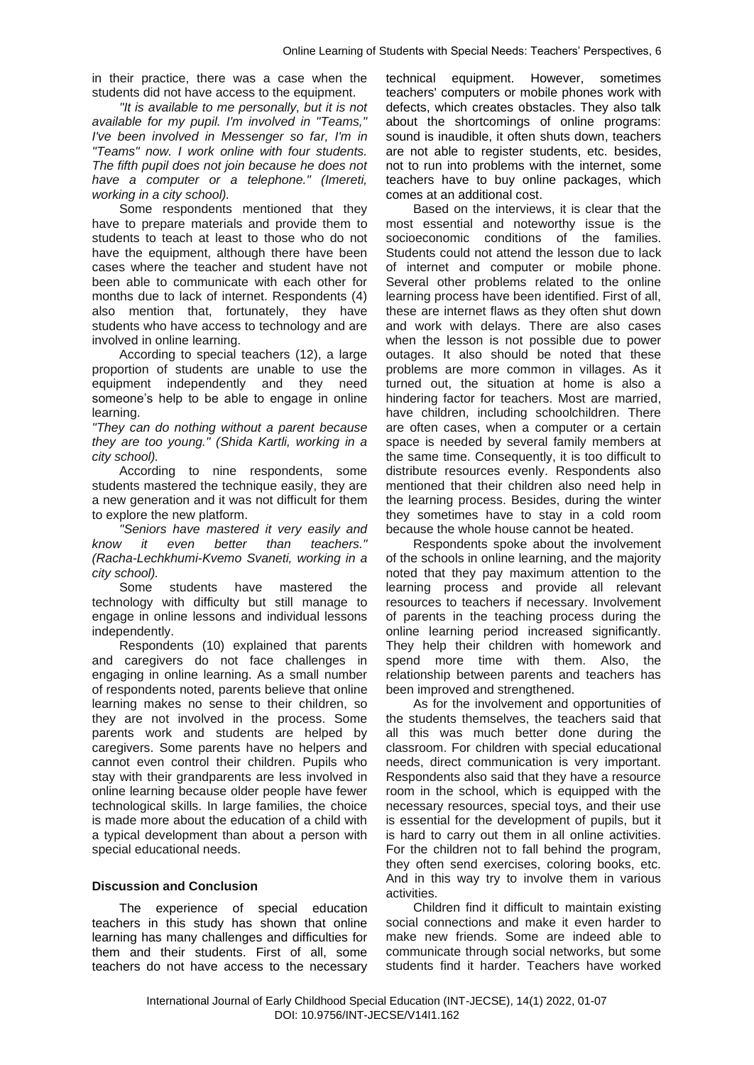in their practice, there was a case when the students did not have access to the equipment.

*"It is available to me personally, but it is not available for my pupil. I'm involved in "Teams," I've been involved in Messenger so far, I'm in "Teams" now. I work online with four students. The fifth pupil does not join because he does not have a computer or a telephone." (Imereti, working in a city school).*

Some respondents mentioned that they have to prepare materials and provide them to students to teach at least to those who do not have the equipment, although there have been cases where the teacher and student have not been able to communicate with each other for months due to lack of internet. Respondents (4) also mention that, fortunately, they have students who have access to technology and are involved in online learning.

According to special teachers (12), a large proportion of students are unable to use the equipment independently and they need someone's help to be able to engage in online learning.

*"They can do nothing without a parent because they are too young." (Shida Kartli, working in a city school).* 

According to nine respondents, some students mastered the technique easily, they are a new generation and it was not difficult for them to explore the new platform.

*"Seniors have mastered it very easily and know it even better than teachers." (Racha-Lechkhumi-Kvemo Svaneti, working in a city school).*

Some students have mastered the technology with difficulty but still manage to engage in online lessons and individual lessons independently.

Respondents (10) explained that parents and caregivers do not face challenges in engaging in online learning. As a small number of respondents noted, parents believe that online learning makes no sense to their children, so they are not involved in the process. Some parents work and students are helped by caregivers. Some parents have no helpers and cannot even control their children. Pupils who stay with their grandparents are less involved in online learning because older people have fewer technological skills. In large families, the choice is made more about the education of a child with a typical development than about a person with special educational needs.

### **Discussion and Conclusion**

The experience of special education teachers in this study has shown that online learning has many challenges and difficulties for them and their students. First of all, some teachers do not have access to the necessary

technical equipment. However, sometimes teachers' computers or mobile phones work with defects, which creates obstacles. They also talk about the shortcomings of online programs: sound is inaudible, it often shuts down, teachers are not able to register students, etc. besides, not to run into problems with the internet, some teachers have to buy online packages, which comes at an additional cost.

Based on the interviews, it is clear that the most essential and noteworthy issue is the socioeconomic conditions of the families. Students could not attend the lesson due to lack of internet and computer or mobile phone. Several other problems related to the online learning process have been identified. First of all, these are internet flaws as they often shut down and work with delays. There are also cases when the lesson is not possible due to power outages. It also should be noted that these problems are more common in villages. As it turned out, the situation at home is also a hindering factor for teachers. Most are married, have children, including schoolchildren. There are often cases, when a computer or a certain space is needed by several family members at the same time. Consequently, it is too difficult to distribute resources evenly. Respondents also mentioned that their children also need help in the learning process. Besides, during the winter they sometimes have to stay in a cold room because the whole house cannot be heated.

Respondents spoke about the involvement of the schools in online learning, and the majority noted that they pay maximum attention to the learning process and provide all relevant resources to teachers if necessary. Involvement of parents in the teaching process during the online learning period increased significantly. They help their children with homework and spend more time with them. Also, the relationship between parents and teachers has been improved and strengthened.

As for the involvement and opportunities of the students themselves, the teachers said that all this was much better done during the classroom. For children with special educational needs, direct communication is very important. Respondents also said that they have a resource room in the school, which is equipped with the necessary resources, special toys, and their use is essential for the development of pupils, but it is hard to carry out them in all online activities. For the children not to fall behind the program, they often send exercises, coloring books, etc. And in this way try to involve them in various activities.

Children find it difficult to maintain existing social connections and make it even harder to make new friends. Some are indeed able to communicate through social networks, but some students find it harder. Teachers have worked